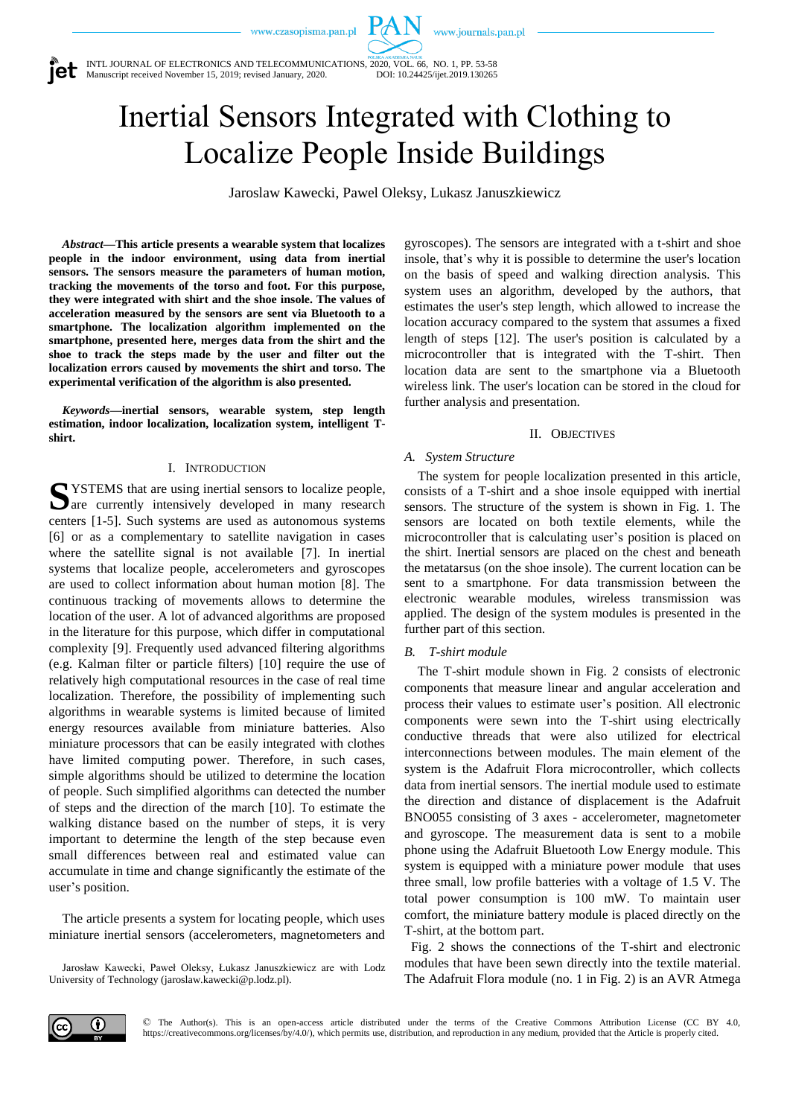www.journals.pan.pl

INTL JOURNAL OF ELECTRONICS AND TELECOMMUNICATIONS, 2020, VOL. 66, NO. 1, PP. 53-58 Manuscript received November 15, 2019; revised January, 2020. DOI: 10.24425/ijet.2019.130265

# Inertial Sensors Integrated with Clothing to Localize People Inside Buildings

 $P_{\rm C}$ 

Jaroslaw Kawecki, Pawel Oleksy, Lukasz Januszkiewicz

*Abstract***—This article presents a wearable system that localizes people in the indoor environment, using data from inertial sensors. The sensors measure the parameters of human motion, tracking the movements of the torso and foot. For this purpose, they were integrated with shirt and the shoe insole. The values of acceleration measured by the sensors are sent via Bluetooth to a smartphone. The localization algorithm implemented on the smartphone, presented here, merges data from the shirt and the shoe to track the steps made by the user and filter out the localization errors caused by movements the shirt and torso. The experimental verification of the algorithm is also presented.**

*Keywords***—inertial sensors, wearable system, step length estimation, indoor localization, localization system, intelligent Tshirt.**

## I. INTRODUCTION

YSTEMS that are using inertial sensors to localize people, SYSTEMS that are using inertial sensors to localize people,<br>are currently intensively developed in many research centers [1-5]. Such systems are used as autonomous systems [6] or as a complementary to satellite navigation in cases where the satellite signal is not available [7]. In inertial systems that localize people, accelerometers and gyroscopes are used to collect information about human motion [8]. The continuous tracking of movements allows to determine the location of the user. A lot of advanced algorithms are proposed in the literature for this purpose, which differ in computational complexity [9]. Frequently used advanced filtering algorithms (e.g. Kalman filter or particle filters) [10] require the use of relatively high computational resources in the case of real time localization. Therefore, the possibility of implementing such algorithms in wearable systems is limited because of limited energy resources available from miniature batteries. Also miniature processors that can be easily integrated with clothes have limited computing power. Therefore, in such cases, simple algorithms should be utilized to determine the location of people. Such simplified algorithms can detected the number of steps and the direction of the march [10]. To estimate the walking distance based on the number of steps, it is very important to determine the length of the step because even small differences between real and estimated value can accumulate in time and change significantly the estimate of the user's position.

The article presents a system for locating people, which uses miniature inertial sensors (accelerometers, magnetometers and

Jarosław Kawecki, Paweł Oleksy, Łukasz Januszkiewicz are with Lodz University of Technology (jaroslaw.kawecki@p.lodz.pl).

gyroscopes). The sensors are integrated with a t-shirt and shoe insole, that's why it is possible to determine the user's location on the basis of speed and walking direction analysis. This system uses an algorithm, developed by the authors, that estimates the user's step length, which allowed to increase the location accuracy compared to the system that assumes a fixed length of steps [12]. The user's position is calculated by a microcontroller that is integrated with the T-shirt. Then location data are sent to the smartphone via a Bluetooth wireless link. The user's location can be stored in the cloud for further analysis and presentation.

## II. OBJECTIVES

## *A. System Structure*

The system for people localization presented in this article, consists of a T-shirt and a shoe insole equipped with inertial sensors. The structure of the system is shown in Fig. 1. The sensors are located on both textile elements, while the microcontroller that is calculating user's position is placed on the shirt. Inertial sensors are placed on the chest and beneath the metatarsus (on the shoe insole). The current location can be sent to a smartphone. For data transmission between the electronic wearable modules, wireless transmission was applied. The design of the system modules is presented in the further part of this section.

# *B. T-shirt module*

The T-shirt module shown in Fig. 2 consists of electronic components that measure linear and angular acceleration and process their values to estimate user's position. All electronic components were sewn into the T-shirt using electrically conductive threads that were also utilized for electrical interconnections between modules. The main element of the system is the Adafruit Flora microcontroller, which collects data from inertial sensors. The inertial module used to estimate the direction and distance of displacement is the Adafruit BNO055 consisting of 3 axes - accelerometer, magnetometer and gyroscope. The measurement data is sent to a mobile phone using the Adafruit Bluetooth Low Energy module. This system is equipped with a miniature power module that uses three small, low profile batteries with a voltage of 1.5 V. The total power consumption is 100 mW. To maintain user comfort, the miniature battery module is placed directly on the T-shirt, at the bottom part.

Fig. 2 shows the connections of the T-shirt and electronic modules that have been sewn directly into the textile material. The Adafruit Flora module (no. 1 in Fig. 2) is an AVR Atmega

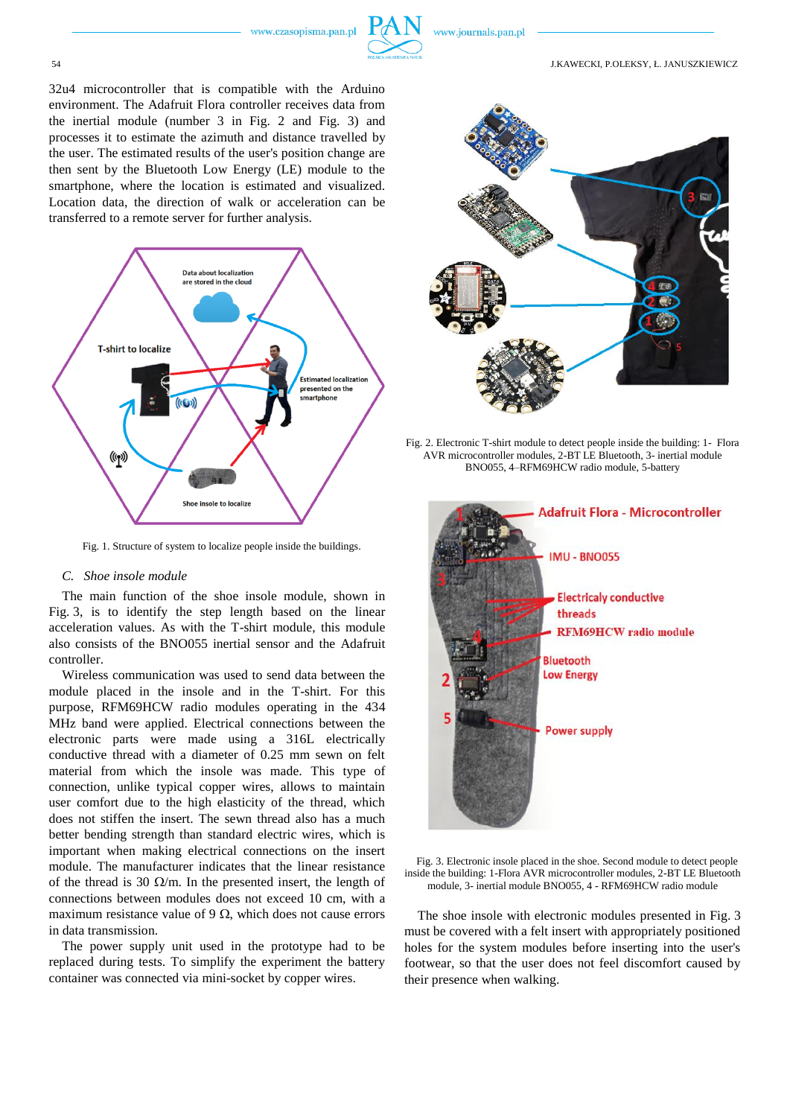

32u4 microcontroller that is compatible with the Arduino environment. The Adafruit Flora controller receives data from the inertial module (number 3 in Fig. 2 and Fig. 3) and processes it to estimate the azimuth and distance travelled by the user. The estimated results of the user's position change are then sent by the Bluetooth Low Energy (LE) module to the smartphone, where the location is estimated and visualized. Location data, the direction of walk or acceleration can be transferred to a remote server for further analysis.



Fig. 1. Structure of system to localize people inside the buildings.

## *C. Shoe insole module*

The main function of the shoe insole module, shown in Fig. 3, is to identify the step length based on the linear acceleration values. As with the T-shirt module, this module also consists of the BNO055 inertial sensor and the Adafruit controller.

Wireless communication was used to send data between the module placed in the insole and in the T-shirt. For this purpose, RFM69HCW radio modules operating in the 434 MHz band were applied. Electrical connections between the electronic parts were made using a 316L electrically conductive thread with a diameter of 0.25 mm sewn on felt material from which the insole was made. This type of connection, unlike typical copper wires, allows to maintain user comfort due to the high elasticity of the thread, which does not stiffen the insert. The sewn thread also has a much better bending strength than standard electric wires, which is important when making electrical connections on the insert module. The manufacturer indicates that the linear resistance of the thread is 30  $\Omega/m$ . In the presented insert, the length of connections between modules does not exceed 10 cm, with a maximum resistance value of 9  $\Omega$ , which does not cause errors in data transmission.

The power supply unit used in the prototype had to be replaced during tests. To simplify the experiment the battery container was connected via mini-socket by copper wires.



Fig. 2. Electronic T-shirt module to detect people inside the building: 1- Flora AVR microcontroller modules, 2-BT LE Bluetooth, 3- inertial module BNO055, 4–RFM69HCW radio module, 5-battery





The shoe insole with electronic modules presented in Fig. 3 must be covered with a felt insert with appropriately positioned holes for the system modules before inserting into the user's footwear, so that the user does not feel discomfort caused by their presence when walking.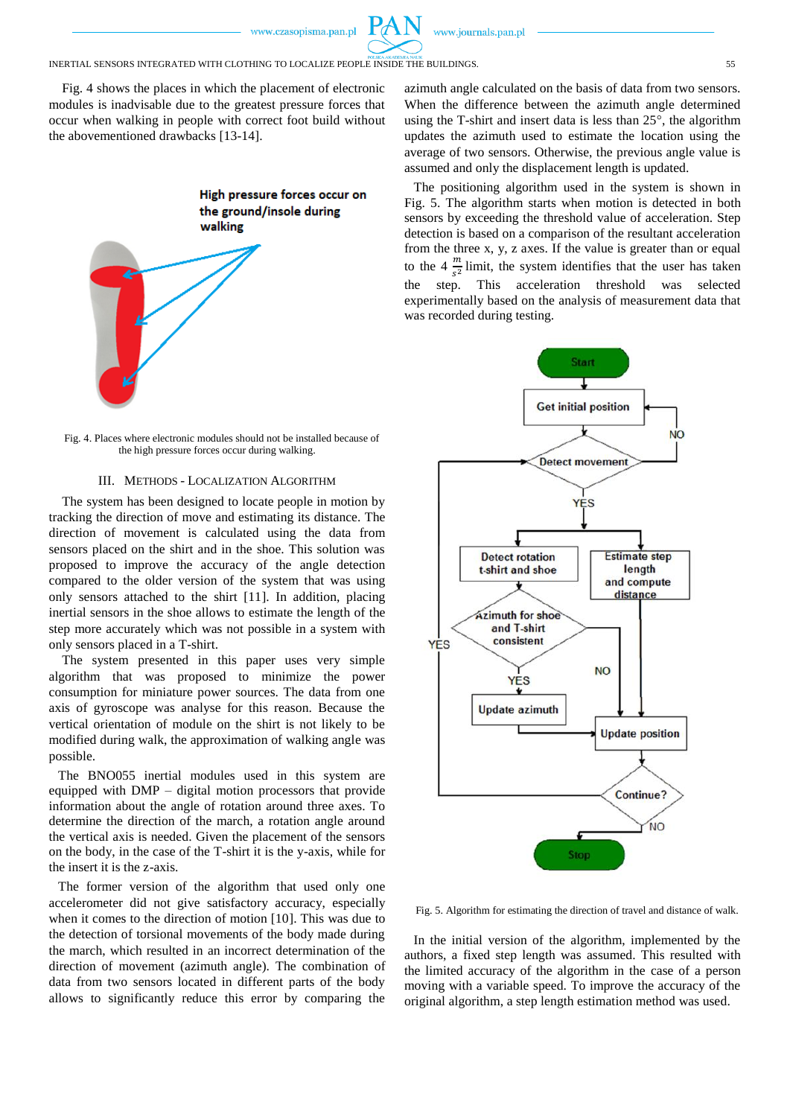www.journals.pan.pl

Fig. 4 shows the places in which the placement of electronic modules is inadvisable due to the greatest pressure forces that occur when walking in people with correct foot build without the abovementioned drawbacks [13-14].



Fig. 4. Places where electronic modules should not be installed because of the high pressure forces occur during walking.

#### III. METHODS - LOCALIZATION ALGORITHM

The system has been designed to locate people in motion by tracking the direction of move and estimating its distance. The direction of movement is calculated using the data from sensors placed on the shirt and in the shoe. This solution was proposed to improve the accuracy of the angle detection compared to the older version of the system that was using only sensors attached to the shirt [11]. In addition, placing inertial sensors in the shoe allows to estimate the length of the step more accurately which was not possible in a system with only sensors placed in a T-shirt.

The system presented in this paper uses very simple algorithm that was proposed to minimize the power consumption for miniature power sources. The data from one axis of gyroscope was analyse for this reason. Because the vertical orientation of module on the shirt is not likely to be modified during walk, the approximation of walking angle was possible.

The BNO055 inertial modules used in this system are equipped with DMP – digital motion processors that provide information about the angle of rotation around three axes. To determine the direction of the march, a rotation angle around the vertical axis is needed. Given the placement of the sensors on the body, in the case of the T-shirt it is the y-axis, while for the insert it is the z-axis.

The former version of the algorithm that used only one accelerometer did not give satisfactory accuracy, especially when it comes to the direction of motion [10]. This was due to the detection of torsional movements of the body made during the march, which resulted in an incorrect determination of the direction of movement (azimuth angle). The combination of data from two sensors located in different parts of the body allows to significantly reduce this error by comparing the

azimuth angle calculated on the basis of data from two sensors. When the difference between the azimuth angle determined using the T-shirt and insert data is less than  $25^{\circ}$ , the algorithm updates the azimuth used to estimate the location using the average of two sensors. Otherwise, the previous angle value is assumed and only the displacement length is updated.

The positioning algorithm used in the system is shown in Fig. 5. The algorithm starts when motion is detected in both sensors by exceeding the threshold value of acceleration. Step detection is based on a comparison of the resultant acceleration from the three x, y, z axes. If the value is greater than or equal to the  $4 \frac{m}{s^2}$  limit, the system identifies that the user has taken the step. This acceleration threshold was selected experimentally based on the analysis of measurement data that was recorded during testing.



Fig. 5. Algorithm for estimating the direction of travel and distance of walk.

In the initial version of the algorithm, implemented by the authors, a fixed step length was assumed. This resulted with the limited accuracy of the algorithm in the case of a person moving with a variable speed. To improve the accuracy of the original algorithm, a step length estimation method was used.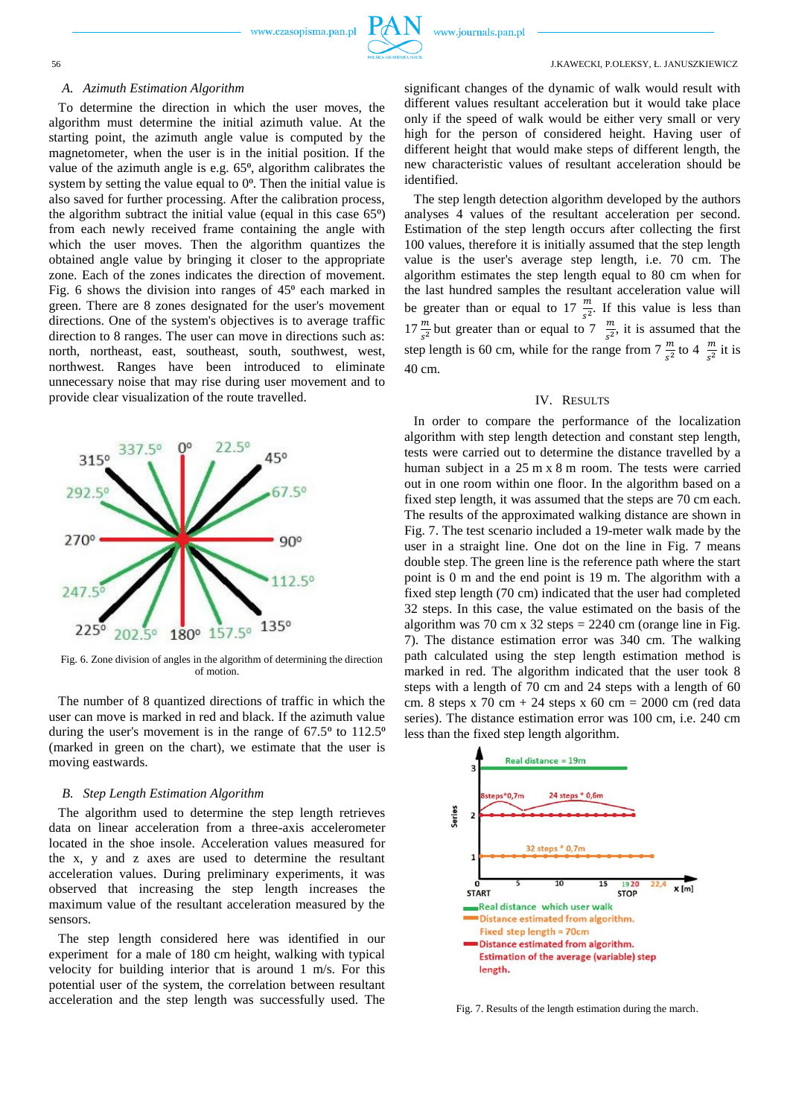### 56 J.KAWECKI, P.OLEKSY, Ł. JANUSZKIEWICZ

# *A. Azimuth Estimation Algorithm*

To determine the direction in which the user moves, the algorithm must determine the initial azimuth value. At the starting point, the azimuth angle value is computed by the magnetometer, when the user is in the initial position. If the value of the azimuth angle is e.g. 65<sup>o</sup>, algorithm calibrates the system by setting the value equal to  $0^\circ$ . Then the initial value is also saved for further processing. After the calibration process, the algorithm subtract the initial value (equal in this case  $65^{\circ}$ ) from each newly received frame containing the angle with which the user moves. Then the algorithm quantizes the obtained angle value by bringing it closer to the appropriate zone. Each of the zones indicates the direction of movement. Fig. 6 shows the division into ranges of  $45^\circ$  each marked in green. There are 8 zones designated for the user's movement directions. One of the system's objectives is to average traffic direction to 8 ranges. The user can move in directions such as: north, northeast, east, southeast, south, southwest, west, northwest. Ranges have been introduced to eliminate unnecessary noise that may rise during user movement and to provide clear visualization of the route travelled.



Fig. 6. Zone division of angles in the algorithm of determining the direction of motion.

The number of 8 quantized directions of traffic in which the user can move is marked in red and black. If the azimuth value during the user's movement is in the range of  $67.5^{\circ}$  to  $112.5^{\circ}$ (marked in green on the chart), we estimate that the user is moving eastwards.

# *B. Step Length Estimation Algorithm*

The algorithm used to determine the step length retrieves data on linear acceleration from a three-axis accelerometer located in the shoe insole. Acceleration values measured for the x, y and z axes are used to determine the resultant acceleration values. During preliminary experiments, it was observed that increasing the step length increases the maximum value of the resultant acceleration measured by the sensors.

The step length considered here was identified in our experiment for a male of 180 cm height, walking with typical velocity for building interior that is around 1 m/s. For this potential user of the system, the correlation between resultant acceleration and the step length was successfully used. The

significant changes of the dynamic of walk would result with different values resultant acceleration but it would take place only if the speed of walk would be either very small or very high for the person of considered height. Having user of different height that would make steps of different length, the new characteristic values of resultant acceleration should be identified.

The step length detection algorithm developed by the authors analyses 4 values of the resultant acceleration per second. Estimation of the step length occurs after collecting the first 100 values, therefore it is initially assumed that the step length value is the user's average step length, i.e. 70 cm. The algorithm estimates the step length equal to 80 cm when for the last hundred samples the resultant acceleration value will be greater than or equal to 17  $\frac{m}{s^2}$ . If this value is less than 17  $\frac{m}{s^2}$  but greater than or equal to 7  $\frac{m}{s^2}$ , it is assumed that the step length is 60 cm, while for the range from 7  $\frac{m}{s^2}$  to 4  $\frac{m}{s^2}$  it is 40 cm.

## IV. RESULTS

In order to compare the performance of the localization algorithm with step length detection and constant step length, tests were carried out to determine the distance travelled by a human subject in a 25 m x 8 m room. The tests were carried out in one room within one floor. In the algorithm based on a fixed step length, it was assumed that the steps are 70 cm each. The results of the approximated walking distance are shown in Fig. 7. The test scenario included a 19-meter walk made by the user in a straight line. One dot on the line in Fig. 7 means double step. The green line is the reference path where the start point is 0 m and the end point is 19 m. The algorithm with a fixed step length (70 cm) indicated that the user had completed 32 steps. In this case, the value estimated on the basis of the algorithm was 70 cm x 32 steps  $= 2240$  cm (orange line in Fig. 7). The distance estimation error was 340 cm. The walking path calculated using the step length estimation method is marked in red. The algorithm indicated that the user took 8 steps with a length of 70 cm and 24 steps with a length of 60 cm. 8 steps x 70 cm + 24 steps x 60 cm = 2000 cm (red data series). The distance estimation error was 100 cm, i.e. 240 cm less than the fixed step length algorithm.



Fig. 7. Results of the length estimation during the march.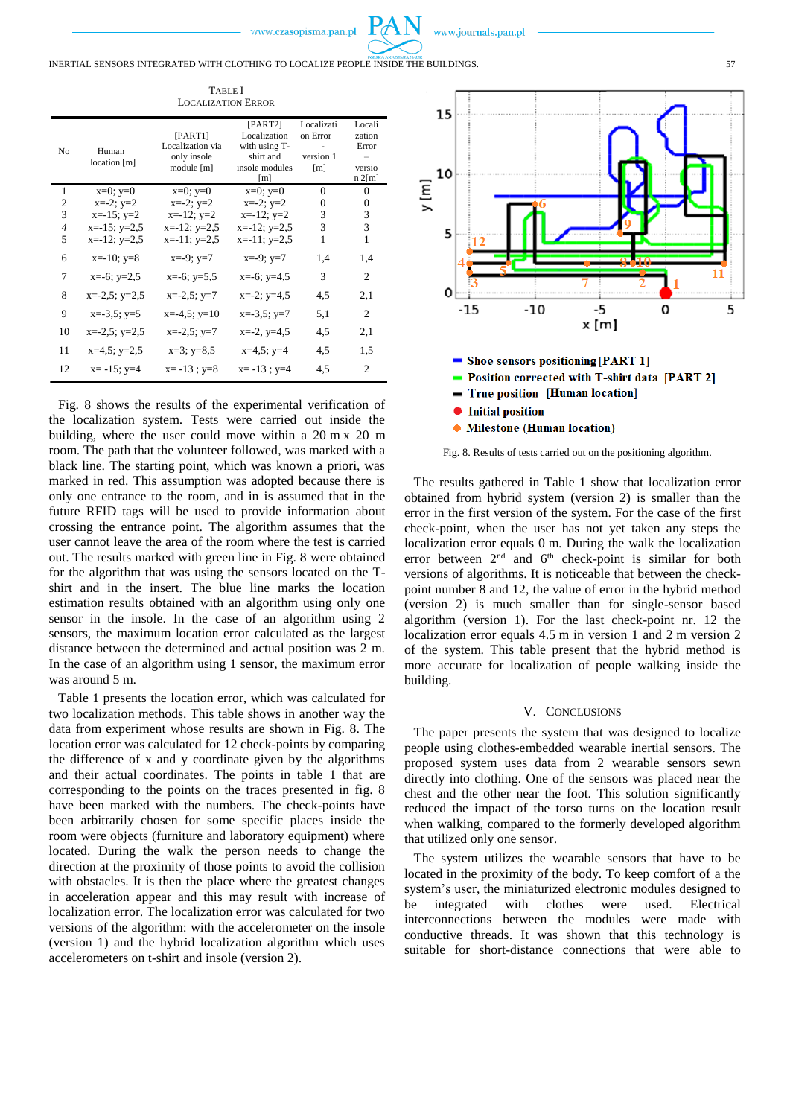www.journals.pan.pl

# INERTIAL SENSORS INTEGRATED WITH CLOTHING TO LOCALIZE PEOPLE INSIDE THE BUILDINGS. 57

| N <sub>o</sub> | Human<br>location [m] | [PART1]<br>Localization via<br>only insole<br>module $[m]$ | [PART2]<br>Localization<br>with using T-<br>shirt and<br>insole modules<br>[m] | Localizati<br>on Error<br>version 1<br>[m] | Locali<br>zation<br>Error<br>versio<br>n2[m] |
|----------------|-----------------------|------------------------------------------------------------|--------------------------------------------------------------------------------|--------------------------------------------|----------------------------------------------|
| 1              | $x=0$ ; $y=0$         | $x=0; y=0$                                                 | $x=0; y=0$                                                                     | $\Omega$                                   | $\Omega$                                     |
| 2              | $x=-2; y=2$           | $x=-2; y=2$                                                | $x=-2; y=2$                                                                    | $\Omega$                                   | 0                                            |
| 3              | $x=-15; y=2$          | $x=-12; y=2$                                               | $x=-12$ ; $y=2$                                                                | 3                                          | 3                                            |
| $\overline{4}$ | $x = -15$ ; $y = 2.5$ | $x=-12$ ; $y=2.5$                                          | $x=-12$ ; $y=2,5$                                                              | 3                                          | 3                                            |
| 5              | $x=-12$ ; $y=2.5$     | $x = -11$ ; $y = 2.5$                                      | $x=-11$ ; $y=2.5$                                                              | 1                                          | 1                                            |
| 6              | $x=-10; y=8$          | $x=-9; y=7$                                                | $x= -9; y=7$                                                                   | 1,4                                        | 1,4                                          |
| $\overline{7}$ | $x=-6; y=2,5$         | $x=-6$ ; $y=5,5$                                           | $x=-6$ ; $y=4,5$                                                               | 3                                          | 2                                            |
| 8              | $x=-2.5$ ; $y=2.5$    | $x=-2,5; y=7$                                              | $x=-2$ ; $y=4,5$                                                               | 4,5                                        | 2,1                                          |
| 9              | $x=-3,5; y=5$         | $x=-4,5; y=10$                                             | $x = -3, 5; y = 7$                                                             | 5,1                                        | 2                                            |
| 10             | $x=-2.5$ ; $y=2.5$    | $x=-2,5; y=7$                                              | $x=-2, y=4.5$                                                                  | 4,5                                        | 2,1                                          |
| 11             | $x=4.5$ ; $y=2.5$     | $x=3$ ; $y=8,5$                                            | $x=4,5; y=4$                                                                   | 4,5                                        | 1,5                                          |
| 12             | $x = -15$ ; $y=4$     | $x = -13$ ; $y=8$                                          | $x = -13$ ; $y=4$                                                              | 4,5                                        | $\overline{c}$                               |

TABLE I LOCALIZATION ERROR

Fig. 8 shows the results of the experimental verification of the localization system. Tests were carried out inside the building, where the user could move within a 20 m x 20 m room. The path that the volunteer followed, was marked with a black line. The starting point, which was known a priori, was marked in red. This assumption was adopted because there is only one entrance to the room, and in is assumed that in the future RFID tags will be used to provide information about crossing the entrance point. The algorithm assumes that the user cannot leave the area of the room where the test is carried out. The results marked with green line in Fig. 8 were obtained for the algorithm that was using the sensors located on the Tshirt and in the insert. The blue line marks the location estimation results obtained with an algorithm using only one sensor in the insole. In the case of an algorithm using 2 sensors, the maximum location error calculated as the largest distance between the determined and actual position was 2 m. In the case of an algorithm using 1 sensor, the maximum error was around 5 m.

Table 1 presents the location error, which was calculated for two localization methods. This table shows in another way the data from experiment whose results are shown in Fig. 8. The location error was calculated for 12 check-points by comparing the difference of x and y coordinate given by the algorithms and their actual coordinates. The points in table 1 that are corresponding to the points on the traces presented in fig. 8 have been marked with the numbers. The check-points have been arbitrarily chosen for some specific places inside the room were objects (furniture and laboratory equipment) where located. During the walk the person needs to change the direction at the proximity of those points to avoid the collision with obstacles. It is then the place where the greatest changes in acceleration appear and this may result with increase of localization error. The localization error was calculated for two versions of the algorithm: with the accelerometer on the insole (version 1) and the hybrid localization algorithm which uses accelerometers on t-shirt and insole (version 2).



Fig. 8. Results of tests carried out on the positioning algorithm.

The results gathered in Table 1 show that localization error obtained from hybrid system (version 2) is smaller than the error in the first version of the system. For the case of the first check-point, when the user has not yet taken any steps the localization error equals 0 m. During the walk the localization error between  $2<sup>nd</sup>$  and  $6<sup>th</sup>$  check-point is similar for both versions of algorithms. It is noticeable that between the checkpoint number 8 and 12, the value of error in the hybrid method (version 2) is much smaller than for single-sensor based algorithm (version 1). For the last check-point nr. 12 the localization error equals 4.5 m in version 1 and 2 m version 2 of the system. This table present that the hybrid method is more accurate for localization of people walking inside the building.

#### V. CONCLUSIONS

The paper presents the system that was designed to localize people using clothes-embedded wearable inertial sensors. The proposed system uses data from 2 wearable sensors sewn directly into clothing. One of the sensors was placed near the chest and the other near the foot. This solution significantly reduced the impact of the torso turns on the location result when walking, compared to the formerly developed algorithm that utilized only one sensor.

The system utilizes the wearable sensors that have to be located in the proximity of the body. To keep comfort of a the system's user, the miniaturized electronic modules designed to be integrated with clothes were used. Electrical interconnections between the modules were made with conductive threads. It was shown that this technology is suitable for short-distance connections that were able to